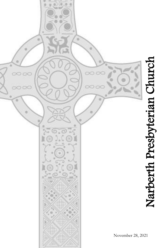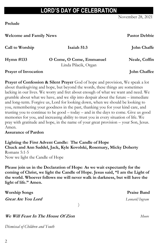# **LORD'S DAY OF CELEBRATION**

November 28, 2021

**Prelude**

**Welcome and Family News Pastor Debbie**

**Call to Worship Isaiah 51:3 Isaiah Ella Miselis,** *Elementa Miselis, <b>Elementary Elementa Miselis, Elementary Elementary Elementary Elementary Elementary Elementary Elementary Elementary Element* 

**Hymn** #133 **O** Come, O Come, Emmanuel **Neale, Coffin** Linda Pilacik, Organ

Prayer of Invocation **Chaffee John Chaffee** 

**Prayer of Confession & Silent Prayer** God of hope and provision, We speak a lot about thanksgiving and hope, but beyond the words, these things are sometimes lacking in our lives. We worry and fret about enough of what we want and need. We grumble about what we have, and we slip into despair about the future – immediate and long-term. Forgive us, Lord for looking down, when we should be looking to you, remembering your goodness in the past, thanking you for your kind care, and trusting you to continue to be good – today – and in the days to come. Give us good memories for you, and increasing ability to trust you in every situation of life. We pray with gratitude and hope, in the name of your great provision – your Son, Jesus. Amen.

## **Assurance of Pardon**

**Lighting the First Advent Candle: The Candle of Hope Chuck and Ann Saddel, Jack, Kyle Kovolski, Rosemary, Micky Doherty** Romans 5:1-5 Now we light the Candle of Hope

**Please join us in the Declaration of Hope**: **As we wait expectantly for the coming of Christ, we light the Candle of Hope. Jesus said, "I am the Light of the world. Whoever follows me will never walk in darkness, but will have the light of life." Amen.**

**Worship Songs Praise Band Great Are You Lord** *Leonard/Ingram* ) **We Will Feast In The House Of Zion** *Moore*

*Dismissal of Children and Youth*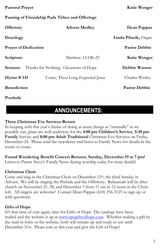## **Passing of Friendship Pads Tithes and Offerings**

| <b>Offertory</b>            | <b>Advent Medley</b>                  | Dean Pappas          |
|-----------------------------|---------------------------------------|----------------------|
| Doxology                    |                                       | Linda Pilacik, Organ |
| <b>Prayer of Dedication</b> |                                       | <b>Pastor Debbie</b> |
| Scripture:                  | Matthew 12:14b-23                     | Katie Wenger         |
| Sermon:                     | Thanks for Nothing: Occasions of Hope | Debbie Watson        |
| Hymn $\#$ 135               | Come, Thou Long-Expected Jesus        | Charles Wesley       |
| <b>Benediction</b>          |                                       | <b>Pastor Debbie</b> |

**Postlude**

# **ANNOUNCEMENTS:**

## **Three Christmas Eve Services Return**

In keeping with this year's theme of doing as many things as "normally" as we possibly can, plans are well underway for the **4:00 pm Children's Service**, **5:30 pm Family** Service and **8:00 pm Adult Traditional** Christmas Eve Services on Friday, December 24. Please read the newsletter and listen to Family News for details in the weeks to come.

## **Found Wandering Benefit Concert Returns, Sunday, December 19 at 7 pm!**

Listen to Pastor Steve's Family News during worship today for more details!

## **Christmas Choir**

Come and sing in the Christmas Choir on December 12<sup>th</sup>, the third Sunday in Advent. We will be singing the Prelude and the Offertory. Rehearsals will be after church on November 21, 28, and December 5 from 11 am to 12 noon in the Choir loft. All singers are welcome! Contact Dean Pappas (610) 256-3125 to sign up or with questions.

## **Gifts of Hope**

It's that time of year again, time for Gifts of Hope. The catalogs have been mailed and the website is up at [www.npcgiftsofhope.com.](http://www.npcgiftsofhope.com/) Whether making a gift by the mail-in form or the website, both will remain up and ready to use until December 31st. Please join us this year and give the Gift of Hope!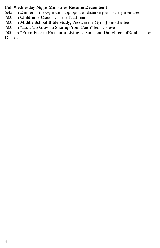## **Full Wednesday Night Ministries Resume December 1**

5:45 pm **Dinner** in the Gym with appropriate distancing and safety measures

7:00 pm **Children's Class**- Danielle Kauffman

7:00 pm **Middle School Bible Study, Pizza** in the Gym- John Chaffee

7:00 pm "**How To Grow in Sharing Your Faith**" led by Steve

7:00 pm "**From Fear to Freedom: Living as Sons and Daughters of God**" led by Debbie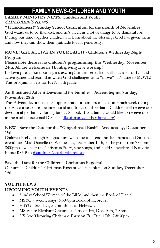# **FAMILY NEWS-CHILDREN AND YOUTH**

## **FAMILY MINISTRY NEWS: Children and Youth CHILDREN'S NEWS**

# **"Thankfulness!" Sunday School Curriculum for the month of November**

God wants us to be thankful, and he's given us a lot of things to be thankful for. During our time together children will learn about the blessings God has given them and how they can show their gratitude for his generosity.

## **MOVE! GET ACTIVE IN YOUR FAITH - Children's Wednesday Night Program**

## **Please note there is no children's programming this Wednesday, November 24th. All are welcome in Thanksgiving Eve worship!**

Following Jesus isn't boring, it's exciting! In this series kids will play a lot of fun and active games and learn that when God challenges us to "move" - it's time to MOVE! This program is best for PreK - 5th grade.

## **An Illustrated Advent Devotional for Families - Advent begins Sunday, November 28th**

This Advent devotional is an opportunity for families to take time each week during the Advent season to be intentional and focus on their faith. Children will receive one devotional per family during Sunday School. If you family would like to receive one in the mail please email Danielle [\(dkauffman@narberthpres.org\)](mailto:dkauffman@narberthpres.org).

## **NEW - Save the Date for the "Gingerbread Bash" - Wednesday, December 15th**

Children PreK through 5th grade are welcome to attend this fun, hands-on Christmas event! Join Miss Danielle on Wednesday, December 15th, in the gym, from 7:00pm - 8:00pm as we hear the Christmas Story, sing songs, and build Gingerbread Nativities! Please RSVP to [dkauffman@narberthpres.org.](mailto:dkauffman@narberthpres.org)

## **Save the Date for the Children's Christmas Pageant!**

Our annual Children's Christmas Pageant will take place on **Sunday, December 19th**.

# **YOUTH NEWS**

# **UPCOMING YOUTH EVENTS**

- Sunday School Women of the Bible, and then the Book of Daniel.
- MSYG Wednesdays, 6:30-8pm Book of Hebrews.
- HSYG Sundays, 5-7pm Book of Hebrews.
- MS White Elephant Christmas Party on Fri, Dec. 10th, 7-8pm.
- HS Axe Throwing Christmas Party on Fri, Dec. 17th, 7-8:30pm.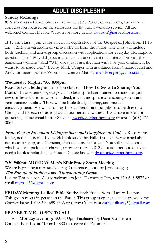# **ADULT DISCIPLESHIP**

## **Sunday Mornings**

**8:15 am class** - Please join us - live in the NPC Parlor, or via Zoom, for a time of conversation focused on the scriptures for that day's worship service. All are welcome! Contact Debbie Watson for more details [dwatson@narberthpres.org.](mailto:dwatson@narberthpres.org)

**11:15 am class** - Join us for a lively in-depth study of the **Gospel of John** from 11:15 am - 12:15 pm via Zoom or via live-stream from the Parlor. The class will include both teaching and active group discussion with applications for everyday life. Explore questions like, "Why did Jesus invite such an unconventional interaction with the Samaritan woman?" And "Why does Jesus ask the man with a 38-year disability if he wants to be made well?" Led by Mark Wenger with assistance from Charlie Hurst and Andy Littmann. For the Zoom link, contact Mark at [markfwenger@yahoo.com.](mailto:markfwenger@yahoo.com.)

## **Wednesday Nights, 7:00-8:00pm**

Pastor Steve is leading an in-person class on "**How To Grow In Sharing Your**  Faith." In one sentence, our goal is to be inspired and trained to share the good news of Jesus Christ in word and deed, in an atmosphere of encouragement and gentle accountability. There will be Bible Study, sharing, and mutual encouragement. We will also pray for our friends and neighbors to be drawn to Christ, and for each of us to grow in our personal witness If you have interest or questions, please email Pastor Steve at [sweed@narberthpres.org](mailto:sweed@narberthpres.org) or text at (610) 761-0061.

**From Fear to Freedom: Living as Sons and Daughters of God**, by Rose Marie Miller, is the basis of a 12 - week book study this Fall. If you've ever worried about not measuring up, as a Christian, then this class is for you! You will need a book, which you can pick up at church, or order yourself. \$12 donation per book. If you need a book scholarship, let Pastor Debbie know at [dwatson@narberthpres.org.](mailto:dwatson@narberthpres.org)

## **7:30-9:00pm MONDAY Men's Bible Study Zoom Meeting**

We are beginning a new study using 2 references, both by Jerry Bridges; **The Pursuit of Holiness** and **Transforming Grace**.

Led by Tim Neilson. All are welcome to join. To contact Tim, text 610-613-5572 or email [mytn1122@gmail.com](mailto:mytn1122@gmail.com)

**FRIDAY Morning Ladies' Bible Study:** Each Friday from 11am to 1:00pm This group meets in-person in the Parlor. This group is open, all ladies are welcome. Contact Isabel Lally: 610-659-6663 or Cathy Callaway at [cathy.callaway5@gmail.com](http://cathy.callaway5@gmail.com )

## **PRAYER TIME - OPEN TO ALL**

 **Monday Evening**: 7:00-8:00pm Facilitated by Dana Kaminstein Contact the office at 610-664-4880 to receive the Zoom link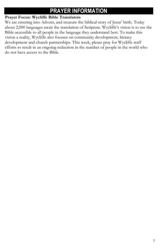# **PRAYER INFORMATION**

## **Prayer Focus: Wycliffe Bible Translators**

We are entering into Advent, and treasure the biblical story of Jesus' birth. Today about 2,000 languages await the translation of Scripture. Wycliffe's vision is to see the Bible accessible to all people in the language they understand best. To make this vision a reality, Wycliffe also focuses on community development, literacy development and church partnerships. This week, please pray for Wycliffe staff efforts to result in an ongoing reduction in the number of people in the world who do not have access to the Bible.